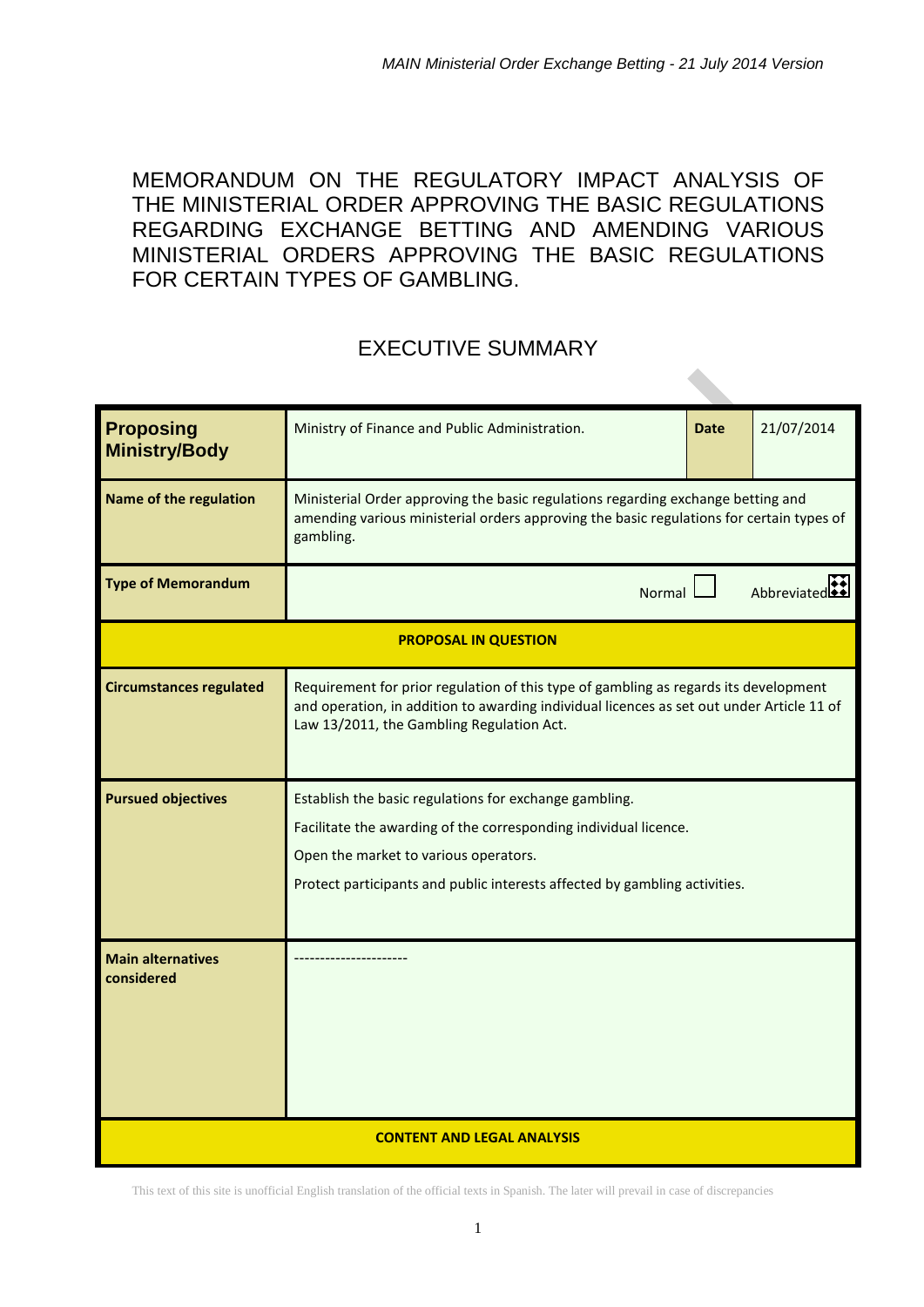MEMORANDUM ON THE REGULATORY IMPACT ANALYSIS OF THE MINISTERIAL ORDER APPROVING THE BASIC REGULATIONS REGARDING EXCHANGE BETTING AND AMENDING VARIOUS MINISTERIAL ORDERS APPROVING THE BASIC REGULATIONS FOR CERTAIN TYPES OF GAMBLING.

# EXECUTIVE SUMMARY

| <b>Proposing</b><br><b>Ministry/Body</b> | Ministry of Finance and Public Administration.                                                                                                                                                                                                    | <b>Date</b> | 21/07/2014  |  |
|------------------------------------------|---------------------------------------------------------------------------------------------------------------------------------------------------------------------------------------------------------------------------------------------------|-------------|-------------|--|
| Name of the regulation                   | Ministerial Order approving the basic regulations regarding exchange betting and<br>amending various ministerial orders approving the basic regulations for certain types of<br>gambling.                                                         |             |             |  |
| <b>Type of Memorandum</b>                | Normal                                                                                                                                                                                                                                            |             | Abbreviated |  |
|                                          | <b>PROPOSAL IN QUESTION</b>                                                                                                                                                                                                                       |             |             |  |
| <b>Circumstances regulated</b>           | Requirement for prior regulation of this type of gambling as regards its development<br>and operation, in addition to awarding individual licences as set out under Article 11 of<br>Law 13/2011, the Gambling Regulation Act.                    |             |             |  |
| <b>Pursued objectives</b>                | Establish the basic regulations for exchange gambling.<br>Facilitate the awarding of the corresponding individual licence.<br>Open the market to various operators.<br>Protect participants and public interests affected by gambling activities. |             |             |  |
| <b>Main alternatives</b><br>considered   |                                                                                                                                                                                                                                                   |             |             |  |
| <b>CONTENT AND LEGAL ANALYSIS</b>        |                                                                                                                                                                                                                                                   |             |             |  |

This text of this site is unofficial English translation of the official texts in Spanish. The later will prevail in case of discrepancies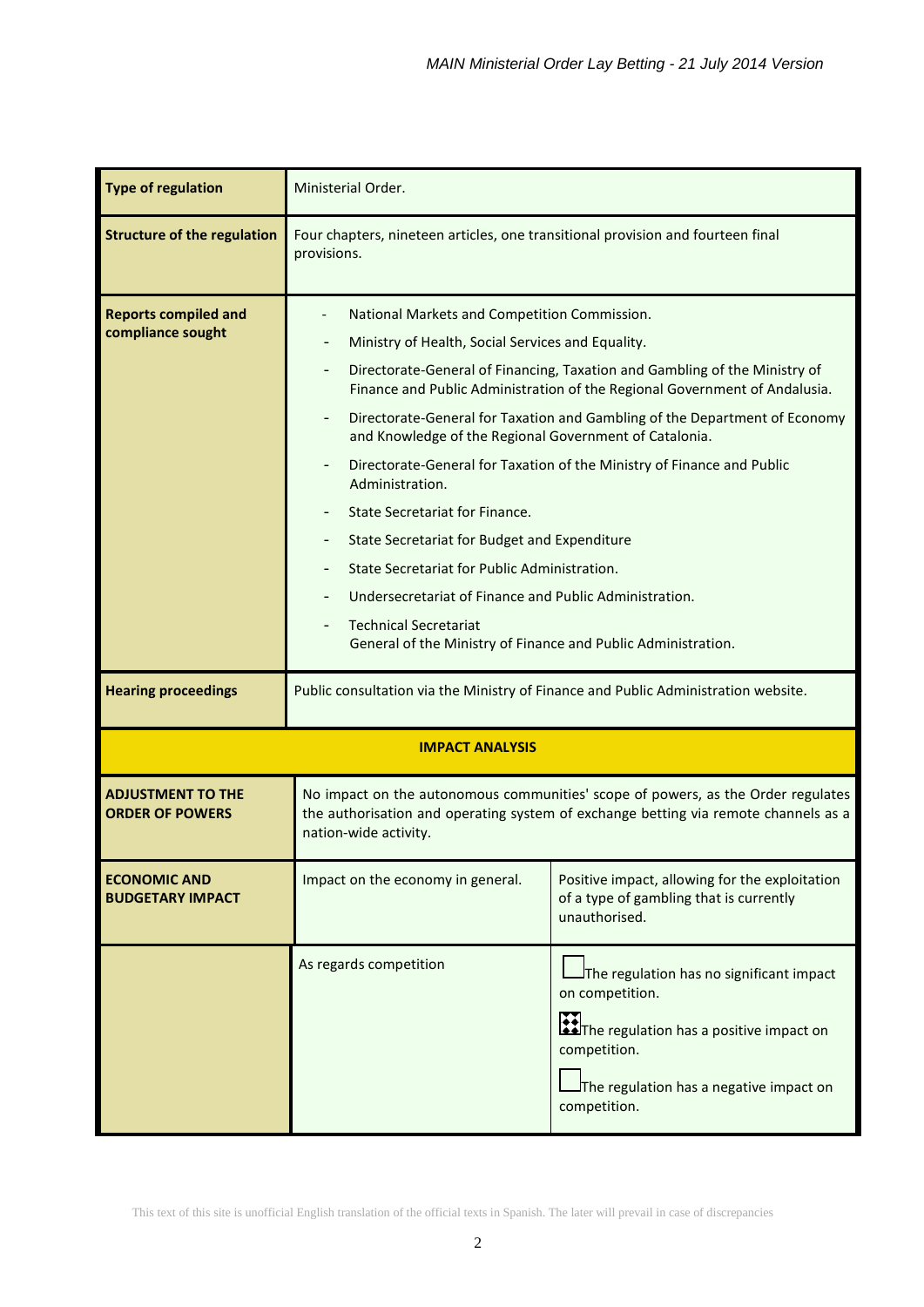| <b>Type of regulation</b>                          | Ministerial Order.                                                                                                                                                                                                                                                                                                                                                                                                                                                                                                                                                                                                                                                                                                                                                                                     |                                                                                                                                                                                             |  |  |
|----------------------------------------------------|--------------------------------------------------------------------------------------------------------------------------------------------------------------------------------------------------------------------------------------------------------------------------------------------------------------------------------------------------------------------------------------------------------------------------------------------------------------------------------------------------------------------------------------------------------------------------------------------------------------------------------------------------------------------------------------------------------------------------------------------------------------------------------------------------------|---------------------------------------------------------------------------------------------------------------------------------------------------------------------------------------------|--|--|
| <b>Structure of the regulation</b>                 | Four chapters, nineteen articles, one transitional provision and fourteen final<br>provisions.                                                                                                                                                                                                                                                                                                                                                                                                                                                                                                                                                                                                                                                                                                         |                                                                                                                                                                                             |  |  |
| <b>Reports compiled and</b><br>compliance sought   | National Markets and Competition Commission.<br>Ministry of Health, Social Services and Equality.<br>Directorate-General of Financing, Taxation and Gambling of the Ministry of<br>Finance and Public Administration of the Regional Government of Andalusia.<br>Directorate-General for Taxation and Gambling of the Department of Economy<br>and Knowledge of the Regional Government of Catalonia.<br>Directorate-General for Taxation of the Ministry of Finance and Public<br>Administration.<br><b>State Secretariat for Finance.</b><br>State Secretariat for Budget and Expenditure<br>State Secretariat for Public Administration.<br>Undersecretariat of Finance and Public Administration.<br><b>Technical Secretariat</b><br>General of the Ministry of Finance and Public Administration. |                                                                                                                                                                                             |  |  |
| <b>Hearing proceedings</b>                         | Public consultation via the Ministry of Finance and Public Administration website.                                                                                                                                                                                                                                                                                                                                                                                                                                                                                                                                                                                                                                                                                                                     |                                                                                                                                                                                             |  |  |
|                                                    | <b>IMPACT ANALYSIS</b>                                                                                                                                                                                                                                                                                                                                                                                                                                                                                                                                                                                                                                                                                                                                                                                 |                                                                                                                                                                                             |  |  |
| <b>ADJUSTMENT TO THE</b><br><b>ORDER OF POWERS</b> | No impact on the autonomous communities' scope of powers, as the Order regulates<br>the authorisation and operating system of exchange betting via remote channels as a<br>nation-wide activity.                                                                                                                                                                                                                                                                                                                                                                                                                                                                                                                                                                                                       |                                                                                                                                                                                             |  |  |
| <b>ECONOMIC AND</b><br><b>BUDGETARY IMPACT</b>     | Impact on the economy in general.                                                                                                                                                                                                                                                                                                                                                                                                                                                                                                                                                                                                                                                                                                                                                                      | Positive impact, allowing for the exploitation<br>of a type of gambling that is currently<br>unauthorised.                                                                                  |  |  |
|                                                    | As regards competition                                                                                                                                                                                                                                                                                                                                                                                                                                                                                                                                                                                                                                                                                                                                                                                 | The regulation has no significant impact<br>on competition.<br><b>Allen Executation has a positive impact on</b><br>competition.<br>The regulation has a negative impact on<br>competition. |  |  |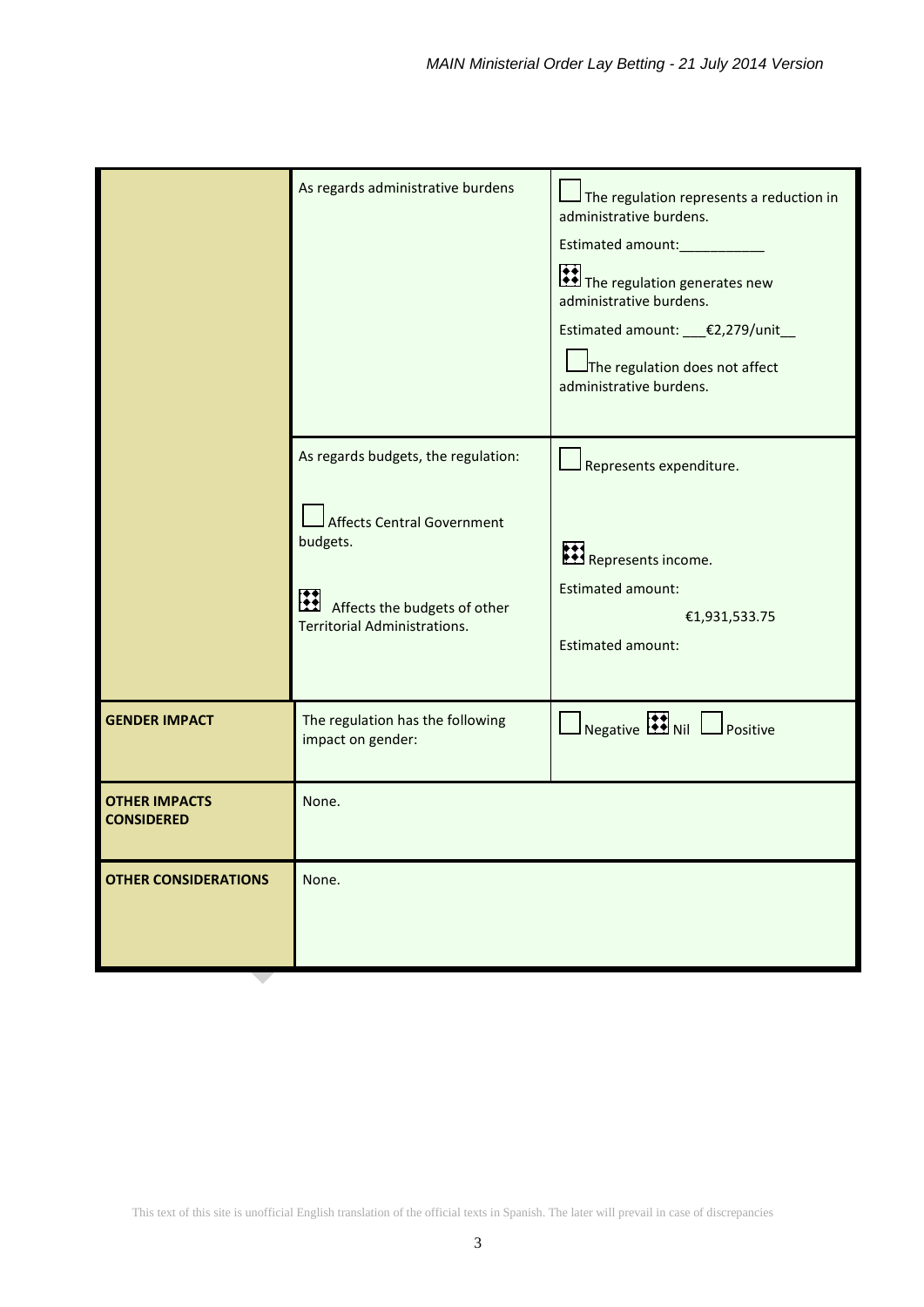|                                           | As regards administrative burdens                                                                                                                                | The regulation represents a reduction in<br>administrative burdens.<br>Estimated amount:____________<br>The regulation generates new<br>administrative burdens.<br>Estimated amount: __€2,279/unit_<br>The regulation does not affect<br>administrative burdens. |
|-------------------------------------------|------------------------------------------------------------------------------------------------------------------------------------------------------------------|------------------------------------------------------------------------------------------------------------------------------------------------------------------------------------------------------------------------------------------------------------------|
|                                           | As regards budgets, the regulation:<br><b>Affects Central Government</b><br>budgets.<br>Ш<br>Affects the budgets of other<br><b>Territorial Administrations.</b> | Represents expenditure.<br>Represents income.<br><b>Estimated amount:</b><br>€1,931,533.75<br>Estimated amount:                                                                                                                                                  |
| <b>GENDER IMPACT</b>                      | The regulation has the following<br>impact on gender:                                                                                                            | $\Box$ Negative $\Box$ Nil $\Box$ Positive                                                                                                                                                                                                                       |
| <b>OTHER IMPACTS</b><br><b>CONSIDERED</b> | None.                                                                                                                                                            |                                                                                                                                                                                                                                                                  |
| <b>OTHER CONSIDERATIONS</b>               | None.                                                                                                                                                            |                                                                                                                                                                                                                                                                  |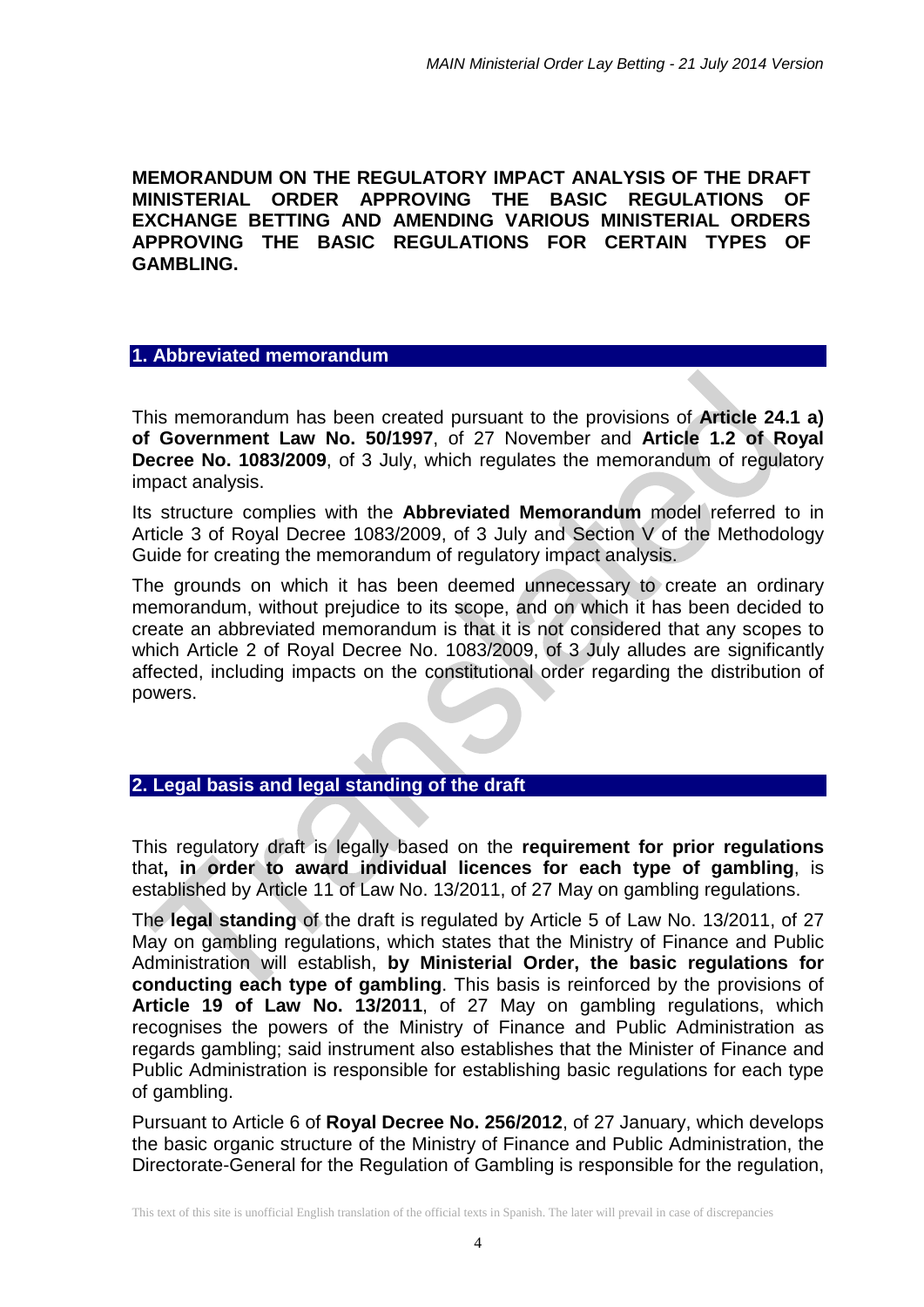**MEMORANDUM ON THE REGULATORY IMPACT ANALYSIS OF THE DRAFT MINISTERIAL ORDER APPROVING THE BASIC REGULATIONS OF EXCHANGE BETTING AND AMENDING VARIOUS MINISTERIAL ORDERS APPROVING THE BASIC REGULATIONS FOR CERTAIN TYPES OF GAMBLING.**

### **1. Abbreviated memorandum**

This memorandum has been created pursuant to the provisions of **Article 24.1 a) of Government Law No. 50/1997**, of 27 November and **Article 1.2 of Royal Decree No. 1083/2009**, of 3 July, which regulates the memorandum of regulatory impact analysis.

Its structure complies with the **Abbreviated Memorandum** model referred to in Article 3 of Royal Decree 1083/2009, of 3 July and Section V of the Methodology Guide for creating the memorandum of regulatory impact analysis.

The grounds on which it has been deemed unnecessary to create an ordinary memorandum, without prejudice to its scope, and on which it has been decided to create an abbreviated memorandum is that it is not considered that any scopes to which Article 2 of Royal Decree No. 1083/2009, of 3 July alludes are significantly affected, including impacts on the constitutional order regarding the distribution of powers.

## **2. Legal basis and legal standing of the draft**

This regulatory draft is legally based on the **requirement for prior regulations**  that**, in order to award individual licences for each type of gambling**, is established by Article 11 of Law No. 13/2011, of 27 May on gambling regulations.

The **legal standing** of the draft is regulated by Article 5 of Law No. 13/2011, of 27 May on gambling regulations, which states that the Ministry of Finance and Public Administration will establish, **by Ministerial Order, the basic regulations for conducting each type of gambling**. This basis is reinforced by the provisions of **Article 19 of Law No. 13/2011**, of 27 May on gambling regulations, which recognises the powers of the Ministry of Finance and Public Administration as regards gambling; said instrument also establishes that the Minister of Finance and Public Administration is responsible for establishing basic regulations for each type of gambling.

Pursuant to Article 6 of **Royal Decree No. 256/2012**, of 27 January, which develops the basic organic structure of the Ministry of Finance and Public Administration, the Directorate-General for the Regulation of Gambling is responsible for the regulation,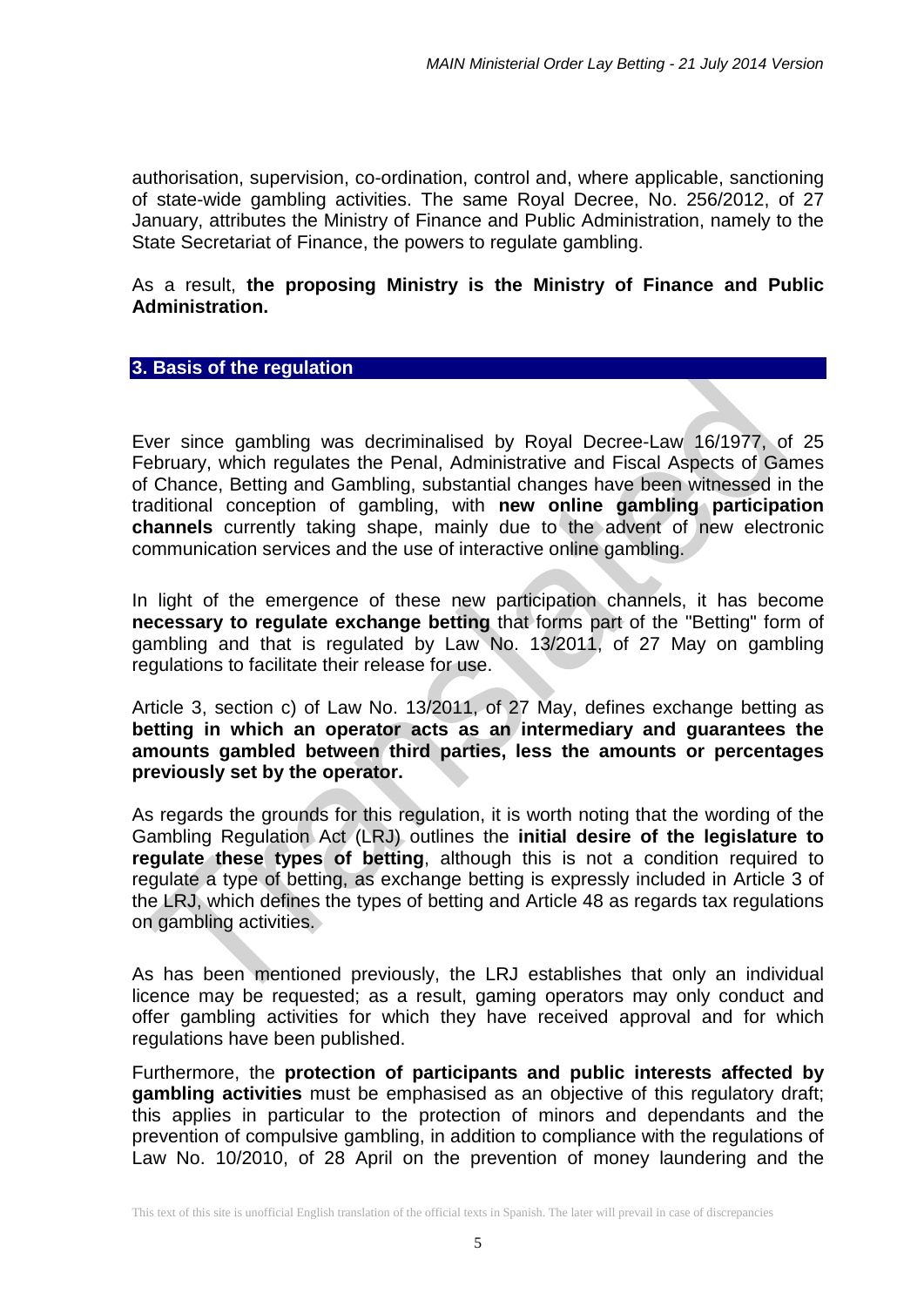authorisation, supervision, co-ordination, control and, where applicable, sanctioning of state-wide gambling activities. The same Royal Decree, No. 256/2012, of 27 January, attributes the Ministry of Finance and Public Administration, namely to the State Secretariat of Finance, the powers to regulate gambling.

## As a result, **the proposing Ministry is the Ministry of Finance and Public Administration.**

### **3. Basis of the regulation**

Ever since gambling was decriminalised by Royal Decree-Law 16/1977, of 25 February, which regulates the Penal, Administrative and Fiscal Aspects of Games of Chance, Betting and Gambling, substantial changes have been witnessed in the traditional conception of gambling, with **new online gambling participation channels** currently taking shape, mainly due to the advent of new electronic communication services and the use of interactive online gambling.

In light of the emergence of these new participation channels, it has become **necessary to regulate exchange betting** that forms part of the "Betting" form of gambling and that is regulated by Law No. 13/2011, of 27 May on gambling regulations to facilitate their release for use.

Article 3, section c) of Law No. 13/2011, of 27 May, defines exchange betting as **betting in which an operator acts as an intermediary and guarantees the amounts gambled between third parties, less the amounts or percentages previously set by the operator.**

As regards the grounds for this regulation, it is worth noting that the wording of the Gambling Regulation Act (LRJ) outlines the **initial desire of the legislature to regulate these types of betting**, although this is not a condition required to regulate a type of betting, as exchange betting is expressly included in Article 3 of the LRJ, which defines the types of betting and Article 48 as regards tax regulations on gambling activities.

As has been mentioned previously, the LRJ establishes that only an individual licence may be requested; as a result, gaming operators may only conduct and offer gambling activities for which they have received approval and for which regulations have been published.

Furthermore, the **protection of participants and public interests affected by gambling activities** must be emphasised as an objective of this regulatory draft; this applies in particular to the protection of minors and dependants and the prevention of compulsive gambling, in addition to compliance with the regulations of Law No. 10/2010, of 28 April on the prevention of money laundering and the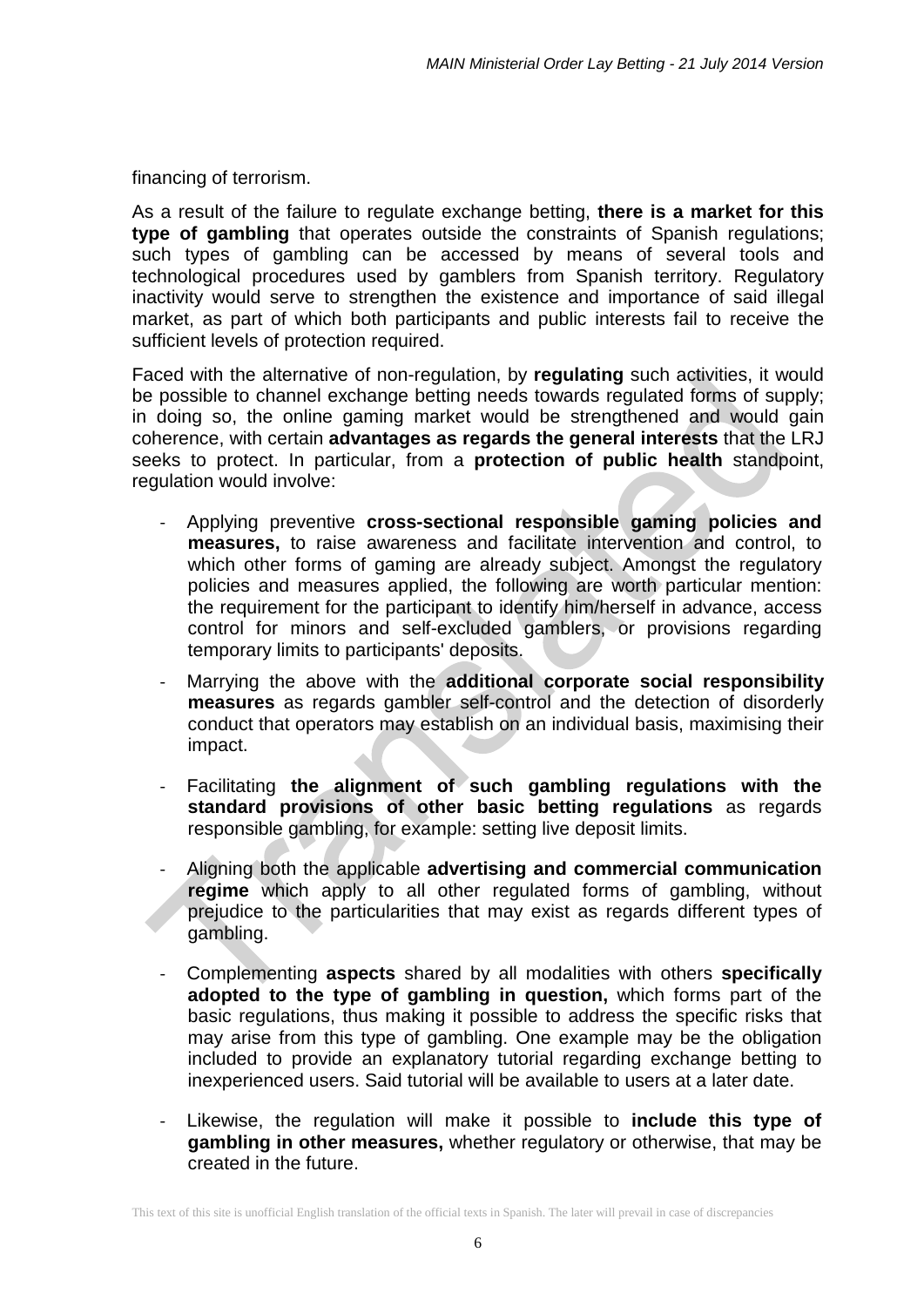financing of terrorism.

As a result of the failure to regulate exchange betting, **there is a market for this type of gambling** that operates outside the constraints of Spanish regulations; such types of gambling can be accessed by means of several tools and technological procedures used by gamblers from Spanish territory. Regulatory inactivity would serve to strengthen the existence and importance of said illegal market, as part of which both participants and public interests fail to receive the sufficient levels of protection required.

Faced with the alternative of non-regulation, by **regulating** such activities, it would be possible to channel exchange betting needs towards regulated forms of supply; in doing so, the online gaming market would be strengthened and would gain coherence, with certain **advantages as regards the general interests** that the LRJ seeks to protect. In particular, from a **protection of public health** standpoint, regulation would involve:

- Applying preventive **cross-sectional responsible gaming policies and measures,** to raise awareness and facilitate intervention and control, to which other forms of gaming are already subject. Amongst the regulatory policies and measures applied, the following are worth particular mention: the requirement for the participant to identify him/herself in advance, access control for minors and self-excluded gamblers, or provisions regarding temporary limits to participants' deposits.
- Marrying the above with the **additional corporate social responsibility measures** as regards gambler self-control and the detection of disorderly conduct that operators may establish on an individual basis, maximising their impact.
- Facilitating **the alignment of such gambling regulations with the standard provisions of other basic betting regulations** as regards responsible gambling, for example: setting live deposit limits.
- Aligning both the applicable **advertising and commercial communication regime** which apply to all other regulated forms of gambling, without prejudice to the particularities that may exist as regards different types of gambling.
- Complementing **aspects** shared by all modalities with others **specifically adopted to the type of gambling in question,** which forms part of the basic regulations, thus making it possible to address the specific risks that may arise from this type of gambling. One example may be the obligation included to provide an explanatory tutorial regarding exchange betting to inexperienced users. Said tutorial will be available to users at a later date.
- Likewise, the regulation will make it possible to include this type of **gambling in other measures,** whether regulatory or otherwise, that may be created in the future.

This text of this site is unofficial English translation of the official texts in Spanish. The later will prevail in case of discrepancies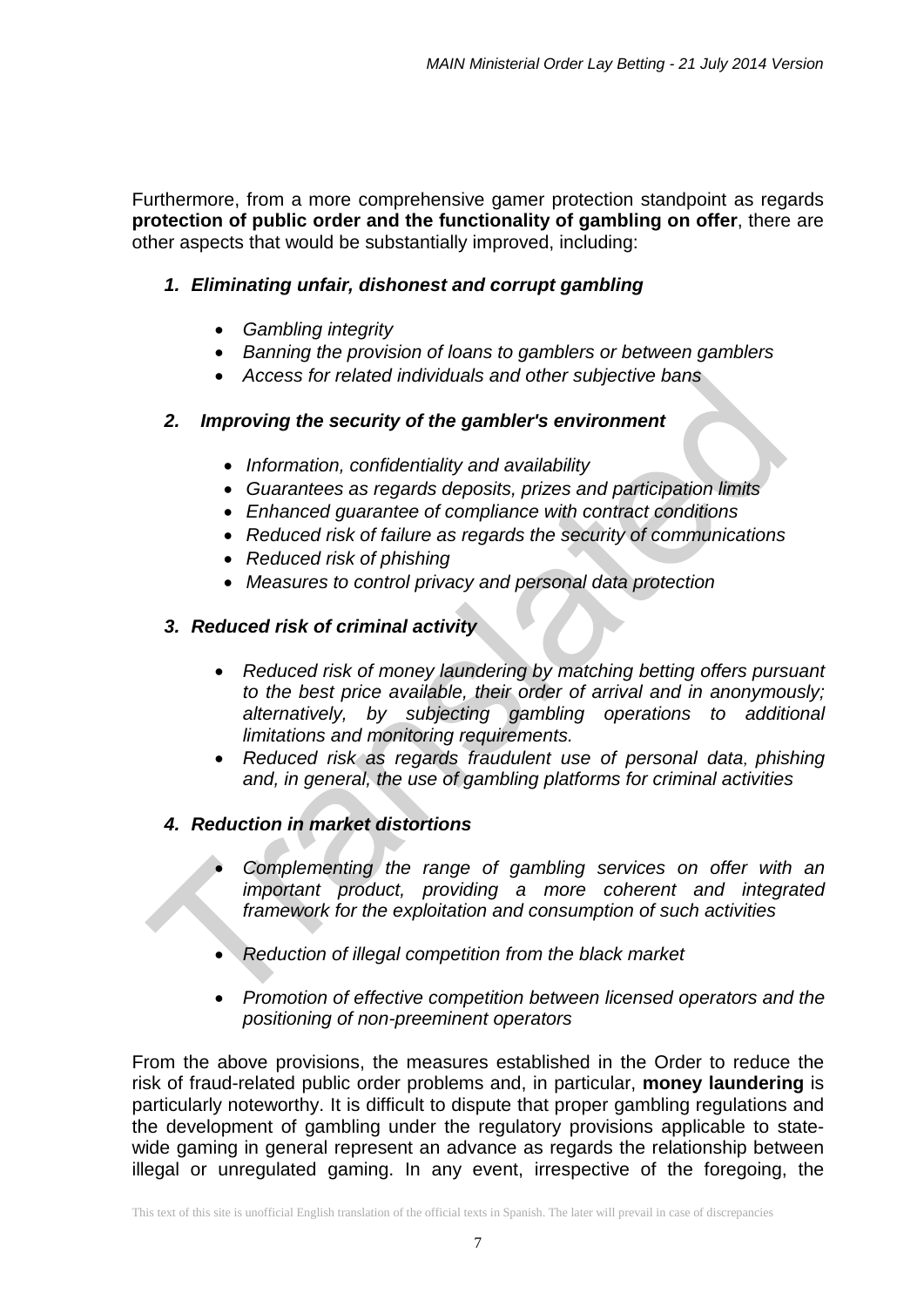Furthermore, from a more comprehensive gamer protection standpoint as regards **protection of public order and the functionality of gambling on offer**, there are other aspects that would be substantially improved, including:

## *1. Eliminating unfair, dishonest and corrupt gambling*

- *Gambling integrity*
- *Banning the provision of loans to gamblers or between gamblers*
- *Access for related individuals and other subjective bans*

## *2. Improving the security of the gambler's environment*

- *Information, confidentiality and availability*
- *Guarantees as regards deposits, prizes and participation limits*
- *Enhanced guarantee of compliance with contract conditions*
- *Reduced risk of failure as regards the security of communications*
- *Reduced risk of phishing*
- *Measures to control privacy and personal data protection*

## *3. Reduced risk of criminal activity*

- *Reduced risk of money laundering by matching betting offers pursuant to the best price available, their order of arrival and in anonymously; alternatively, by subjecting gambling operations to additional limitations and monitoring requirements.*
- *Reduced risk as regards fraudulent use of personal data*, *phishing and, in general, the use of gambling platforms for criminal activities*

## *4. Reduction in market distortions*

- *Complementing the range of gambling services on offer with an important product, providing a more coherent and integrated framework for the exploitation and consumption of such activities*
- *Reduction of illegal competition from the black market*
- *Promotion of effective competition between licensed operators and the positioning of non-preeminent operators*

From the above provisions, the measures established in the Order to reduce the risk of fraud-related public order problems and, in particular, **money laundering** is particularly noteworthy. It is difficult to dispute that proper gambling regulations and the development of gambling under the regulatory provisions applicable to statewide gaming in general represent an advance as regards the relationship between illegal or unregulated gaming. In any event, irrespective of the foregoing, the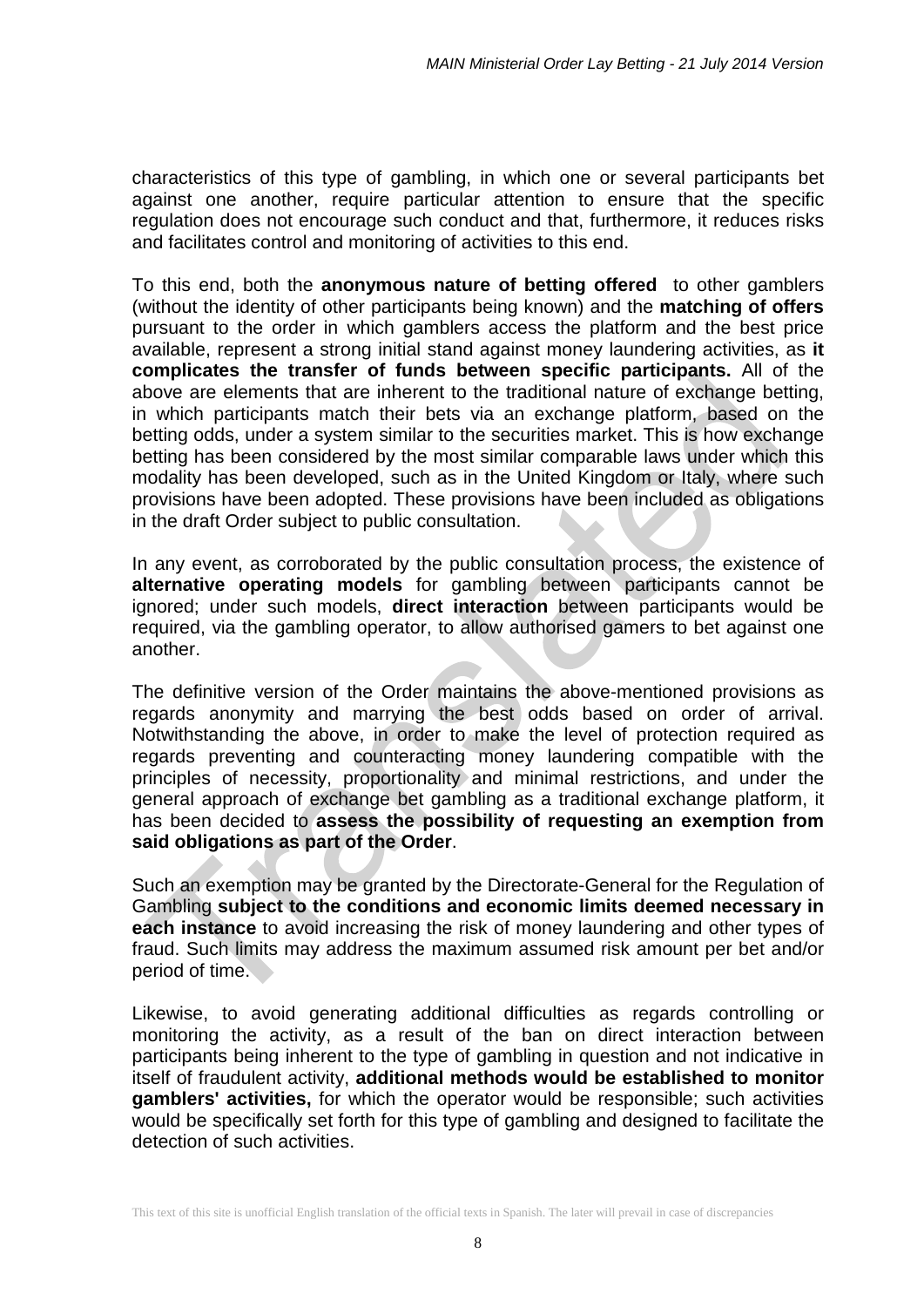characteristics of this type of gambling, in which one or several participants bet against one another, require particular attention to ensure that the specific regulation does not encourage such conduct and that, furthermore, it reduces risks and facilitates control and monitoring of activities to this end.

To this end, both the **anonymous nature of betting offered** to other gamblers (without the identity of other participants being known) and the **matching of offers** pursuant to the order in which gamblers access the platform and the best price available, represent a strong initial stand against money laundering activities, as **it complicates the transfer of funds between specific participants.** All of the above are elements that are inherent to the traditional nature of exchange betting, in which participants match their bets via an exchange platform, based on the betting odds, under a system similar to the securities market. This is how exchange betting has been considered by the most similar comparable laws under which this modality has been developed, such as in the United Kingdom or Italy, where such provisions have been adopted. These provisions have been included as obligations in the draft Order subject to public consultation.

In any event, as corroborated by the public consultation process, the existence of **alternative operating models** for gambling between participants cannot be ignored; under such models, **direct interaction** between participants would be required, via the gambling operator, to allow authorised gamers to bet against one another.

The definitive version of the Order maintains the above-mentioned provisions as regards anonymity and marrying the best odds based on order of arrival. Notwithstanding the above, in order to make the level of protection required as regards preventing and counteracting money laundering compatible with the principles of necessity, proportionality and minimal restrictions, and under the general approach of exchange bet gambling as a traditional exchange platform, it has been decided to **assess the possibility of requesting an exemption from said obligations as part of the Order**.

Such an exemption may be granted by the Directorate-General for the Regulation of Gambling **subject to the conditions and economic limits deemed necessary in each instance** to avoid increasing the risk of money laundering and other types of fraud. Such limits may address the maximum assumed risk amount per bet and/or period of time.

Likewise, to avoid generating additional difficulties as regards controlling or monitoring the activity, as a result of the ban on direct interaction between participants being inherent to the type of gambling in question and not indicative in itself of fraudulent activity, **additional methods would be established to monitor gamblers' activities,** for which the operator would be responsible; such activities would be specifically set forth for this type of gambling and designed to facilitate the detection of such activities.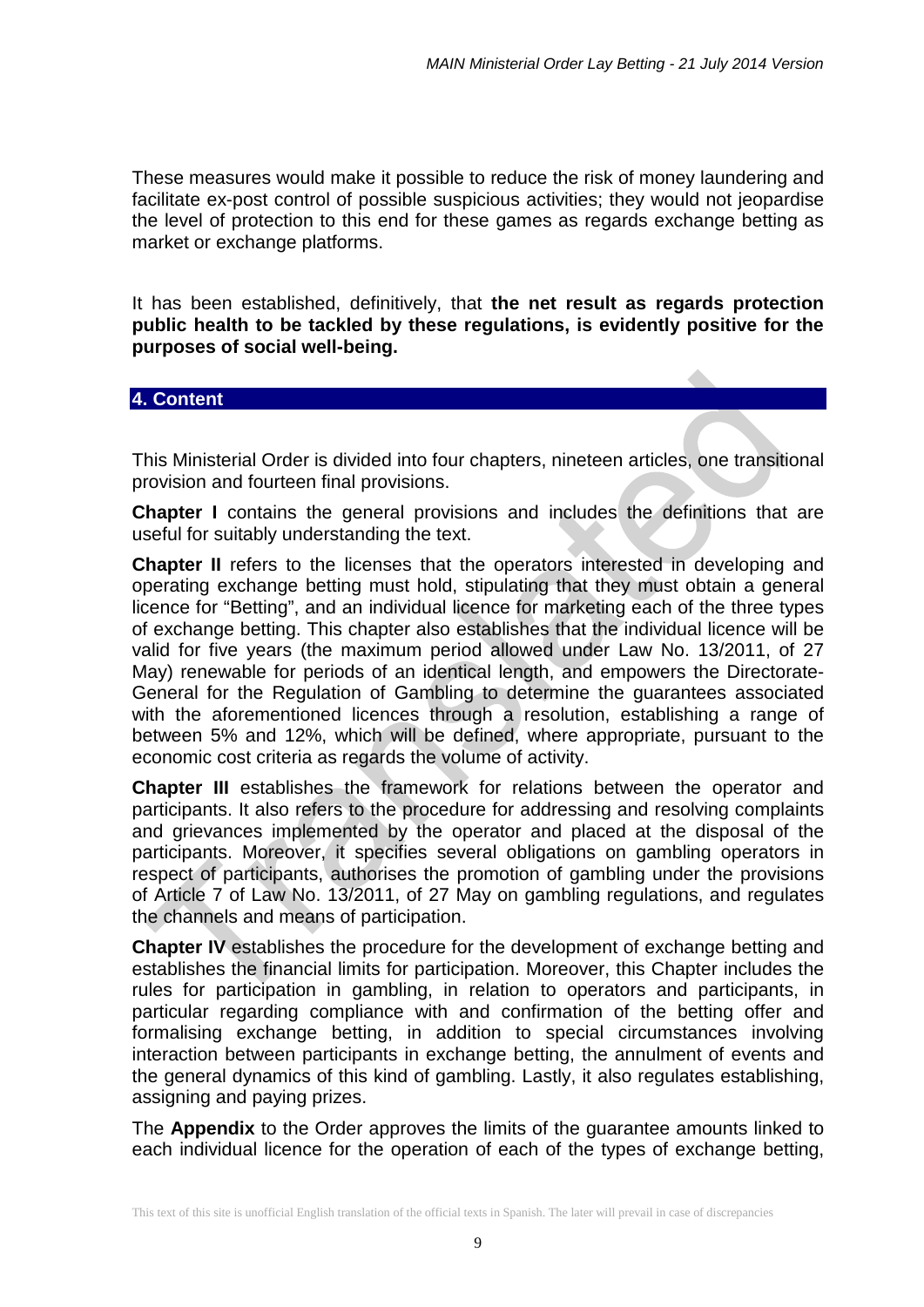These measures would make it possible to reduce the risk of money laundering and facilitate ex-post control of possible suspicious activities; they would not jeopardise the level of protection to this end for these games as regards exchange betting as market or exchange platforms.

It has been established, definitively, that **the net result as regards protection public health to be tackled by these regulations, is evidently positive for the purposes of social well-being.**

### **4. Content**

This Ministerial Order is divided into four chapters, nineteen articles, one transitional provision and fourteen final provisions.

**Chapter I** contains the general provisions and includes the definitions that are useful for suitably understanding the text.

**Chapter II** refers to the licenses that the operators interested in developing and operating exchange betting must hold, stipulating that they must obtain a general licence for "Betting", and an individual licence for marketing each of the three types of exchange betting. This chapter also establishes that the individual licence will be valid for five years (the maximum period allowed under Law No. 13/2011, of 27 May) renewable for periods of an identical length, and empowers the Directorate-General for the Regulation of Gambling to determine the guarantees associated with the aforementioned licences through a resolution, establishing a range of between 5% and 12%, which will be defined, where appropriate, pursuant to the economic cost criteria as regards the volume of activity.

**Chapter III** establishes the framework for relations between the operator and participants. It also refers to the procedure for addressing and resolving complaints and grievances implemented by the operator and placed at the disposal of the participants. Moreover, it specifies several obligations on gambling operators in respect of participants, authorises the promotion of gambling under the provisions of Article 7 of Law No. 13/2011, of 27 May on gambling regulations, and regulates the channels and means of participation.

**Chapter IV** establishes the procedure for the development of exchange betting and establishes the financial limits for participation. Moreover, this Chapter includes the rules for participation in gambling, in relation to operators and participants, in particular regarding compliance with and confirmation of the betting offer and formalising exchange betting, in addition to special circumstances involving interaction between participants in exchange betting, the annulment of events and the general dynamics of this kind of gambling. Lastly, it also regulates establishing, assigning and paying prizes.

The **Appendix** to the Order approves the limits of the guarantee amounts linked to each individual licence for the operation of each of the types of exchange betting,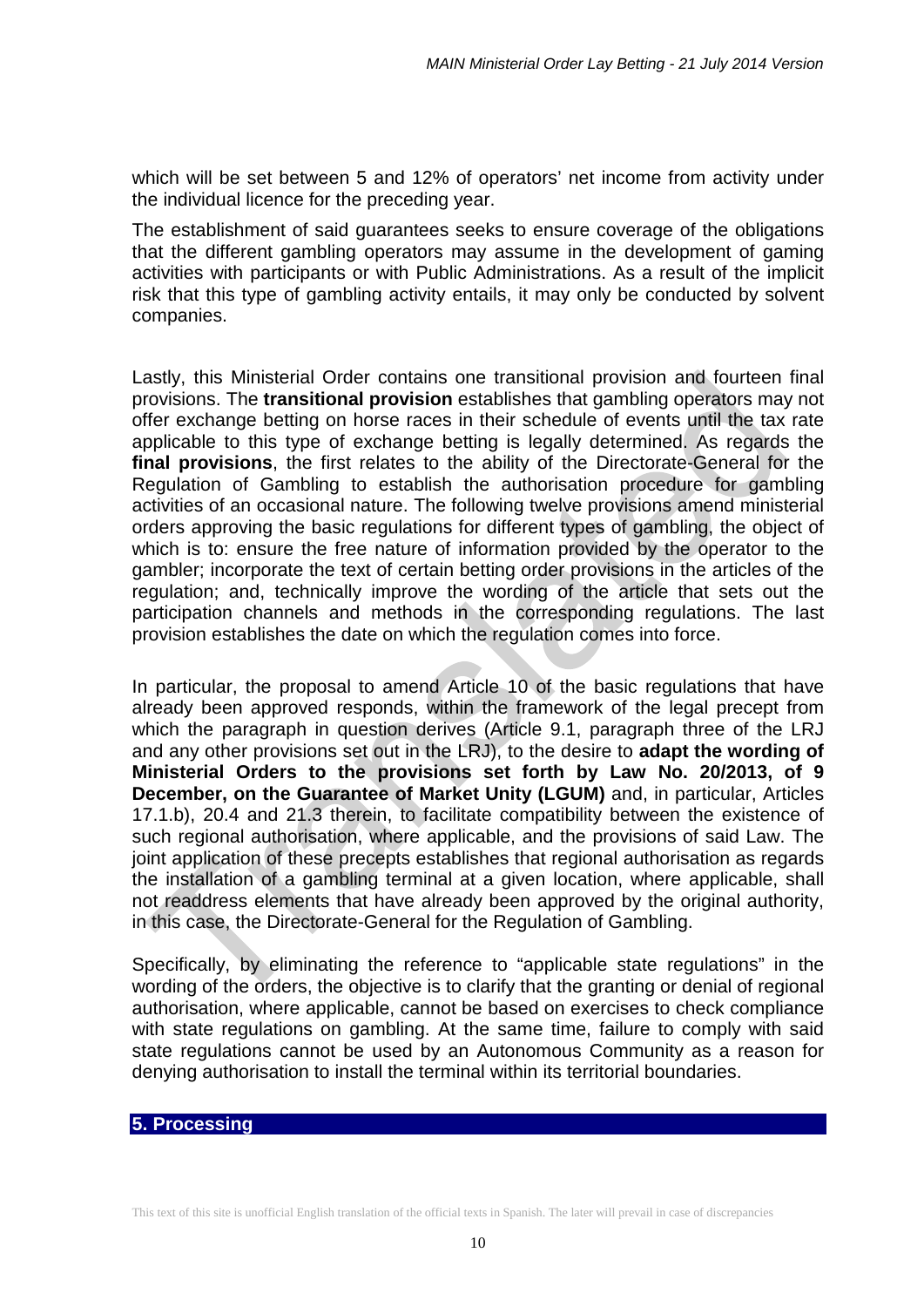which will be set between 5 and 12% of operators' net income from activity under the individual licence for the preceding year.

The establishment of said guarantees seeks to ensure coverage of the obligations that the different gambling operators may assume in the development of gaming activities with participants or with Public Administrations. As a result of the implicit risk that this type of gambling activity entails, it may only be conducted by solvent companies.

Lastly, this Ministerial Order contains one transitional provision and fourteen final provisions. The **transitional provision** establishes that gambling operators may not offer exchange betting on horse races in their schedule of events until the tax rate applicable to this type of exchange betting is legally determined. As regards the **final provisions**, the first relates to the ability of the Directorate-General for the Regulation of Gambling to establish the authorisation procedure for gambling activities of an occasional nature. The following twelve provisions amend ministerial orders approving the basic regulations for different types of gambling, the object of which is to: ensure the free nature of information provided by the operator to the gambler; incorporate the text of certain betting order provisions in the articles of the regulation; and, technically improve the wording of the article that sets out the participation channels and methods in the corresponding regulations. The last provision establishes the date on which the regulation comes into force.

In particular, the proposal to amend Article 10 of the basic regulations that have already been approved responds, within the framework of the legal precept from which the paragraph in question derives (Article 9.1, paragraph three of the LRJ and any other provisions set out in the LRJ), to the desire to **adapt the wording of Ministerial Orders to the provisions set forth by Law No. 20/2013, of 9 December, on the Guarantee of Market Unity (LGUM)** and, in particular, Articles 17.1.b), 20.4 and 21.3 therein, to facilitate compatibility between the existence of such regional authorisation, where applicable, and the provisions of said Law. The joint application of these precepts establishes that regional authorisation as regards the installation of a gambling terminal at a given location, where applicable, shall not readdress elements that have already been approved by the original authority, in this case, the Directorate-General for the Regulation of Gambling.

Specifically, by eliminating the reference to "applicable state regulations" in the wording of the orders, the objective is to clarify that the granting or denial of regional authorisation, where applicable, cannot be based on exercises to check compliance with state regulations on gambling. At the same time, failure to comply with said state regulations cannot be used by an Autonomous Community as a reason for denying authorisation to install the terminal within its territorial boundaries.

#### **5. Processing**

This text of this site is unofficial English translation of the official texts in Spanish. The later will prevail in case of discrepancies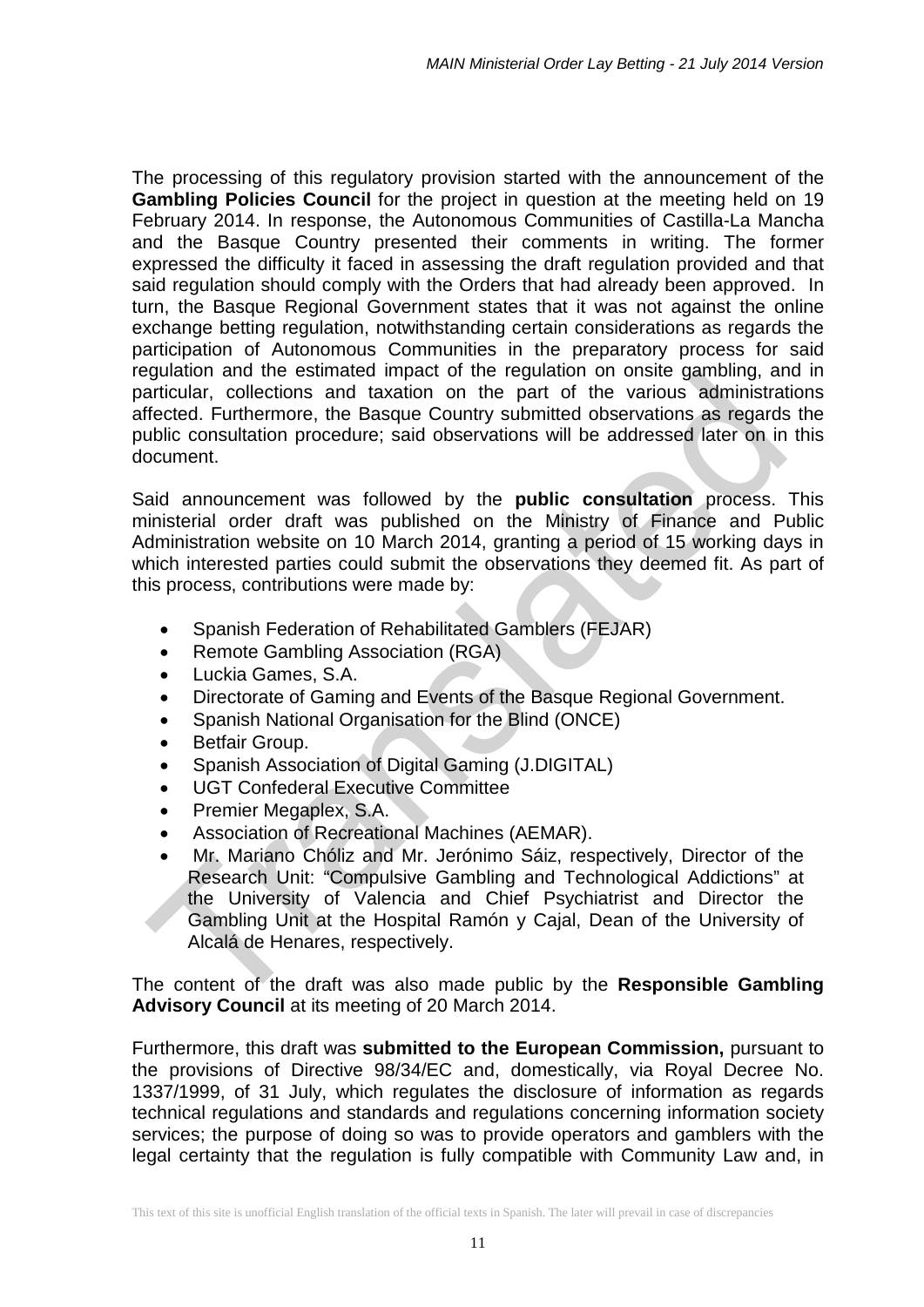The processing of this regulatory provision started with the announcement of the **Gambling Policies Council** for the project in question at the meeting held on 19 February 2014. In response, the Autonomous Communities of Castilla-La Mancha and the Basque Country presented their comments in writing. The former expressed the difficulty it faced in assessing the draft regulation provided and that said regulation should comply with the Orders that had already been approved. In turn, the Basque Regional Government states that it was not against the online exchange betting regulation, notwithstanding certain considerations as regards the participation of Autonomous Communities in the preparatory process for said regulation and the estimated impact of the regulation on onsite gambling, and in particular, collections and taxation on the part of the various administrations affected. Furthermore, the Basque Country submitted observations as regards the public consultation procedure; said observations will be addressed later on in this document.

Said announcement was followed by the **public consultation** process. This ministerial order draft was published on the Ministry of Finance and Public Administration website on 10 March 2014, granting a period of 15 working days in which interested parties could submit the observations they deemed fit. As part of this process, contributions were made by:

- Spanish Federation of Rehabilitated Gamblers (FEJAR)
- Remote Gambling Association (RGA)
- Luckia Games, S.A.
- Directorate of Gaming and Events of the Basque Regional Government.
- Spanish National Organisation for the Blind (ONCE)
- Betfair Group.
- Spanish Association of Digital Gaming (J.DIGITAL)
- UGT Confederal Executive Committee
- Premier Megaplex, S.A.
- Association of Recreational Machines (AEMAR).
- Mr. Mariano Chóliz and Mr. Jerónimo Sáiz, respectively, Director of the Research Unit: "Compulsive Gambling and Technological Addictions" at the University of Valencia and Chief Psychiatrist and Director the Gambling Unit at the Hospital Ramón y Cajal, Dean of the University of Alcalá de Henares, respectively.

The content of the draft was also made public by the **Responsible Gambling Advisory Council** at its meeting of 20 March 2014.

Furthermore, this draft was **submitted to the European Commission,** pursuant to the provisions of Directive 98/34/EC and, domestically, via Royal Decree No. 1337/1999, of 31 July, which regulates the disclosure of information as regards technical regulations and standards and regulations concerning information society services; the purpose of doing so was to provide operators and gamblers with the legal certainty that the regulation is fully compatible with Community Law and, in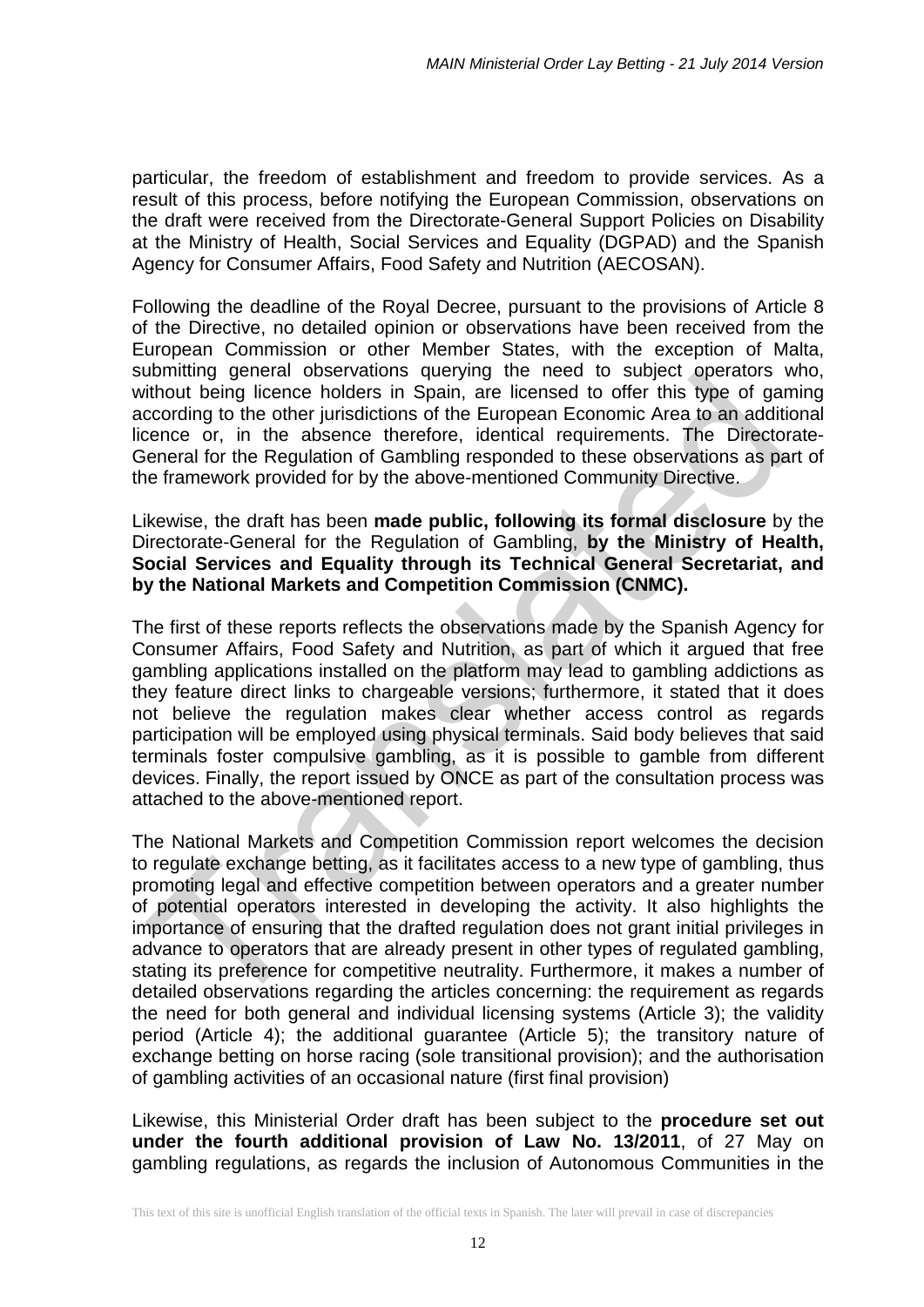particular, the freedom of establishment and freedom to provide services. As a result of this process, before notifying the European Commission, observations on the draft were received from the Directorate-General Support Policies on Disability at the Ministry of Health, Social Services and Equality (DGPAD) and the Spanish Agency for Consumer Affairs, Food Safety and Nutrition (AECOSAN).

Following the deadline of the Royal Decree, pursuant to the provisions of Article 8 of the Directive, no detailed opinion or observations have been received from the European Commission or other Member States, with the exception of Malta, submitting general observations querying the need to subject operators who, without being licence holders in Spain, are licensed to offer this type of gaming according to the other jurisdictions of the European Economic Area to an additional licence or, in the absence therefore, identical requirements. The Directorate-General for the Regulation of Gambling responded to these observations as part of the framework provided for by the above-mentioned Community Directive.

Likewise, the draft has been **made public, following its formal disclosure** by the Directorate-General for the Regulation of Gambling, **by the Ministry of Health, Social Services and Equality through its Technical General Secretariat, and by the National Markets and Competition Commission (CNMC).**

The first of these reports reflects the observations made by the Spanish Agency for Consumer Affairs, Food Safety and Nutrition, as part of which it argued that free gambling applications installed on the platform may lead to gambling addictions as they feature direct links to chargeable versions; furthermore, it stated that it does not believe the regulation makes clear whether access control as regards participation will be employed using physical terminals. Said body believes that said terminals foster compulsive gambling, as it is possible to gamble from different devices. Finally, the report issued by ONCE as part of the consultation process was attached to the above-mentioned report.

The National Markets and Competition Commission report welcomes the decision to regulate exchange betting, as it facilitates access to a new type of gambling, thus promoting legal and effective competition between operators and a greater number of potential operators interested in developing the activity. It also highlights the importance of ensuring that the drafted regulation does not grant initial privileges in advance to operators that are already present in other types of regulated gambling, stating its preference for competitive neutrality. Furthermore, it makes a number of detailed observations regarding the articles concerning: the requirement as regards the need for both general and individual licensing systems (Article 3); the validity period (Article 4); the additional guarantee (Article 5); the transitory nature of exchange betting on horse racing (sole transitional provision); and the authorisation of gambling activities of an occasional nature (first final provision)

Likewise, this Ministerial Order draft has been subject to the **procedure set out under the fourth additional provision of Law No. 13/2011**, of 27 May on gambling regulations, as regards the inclusion of Autonomous Communities in the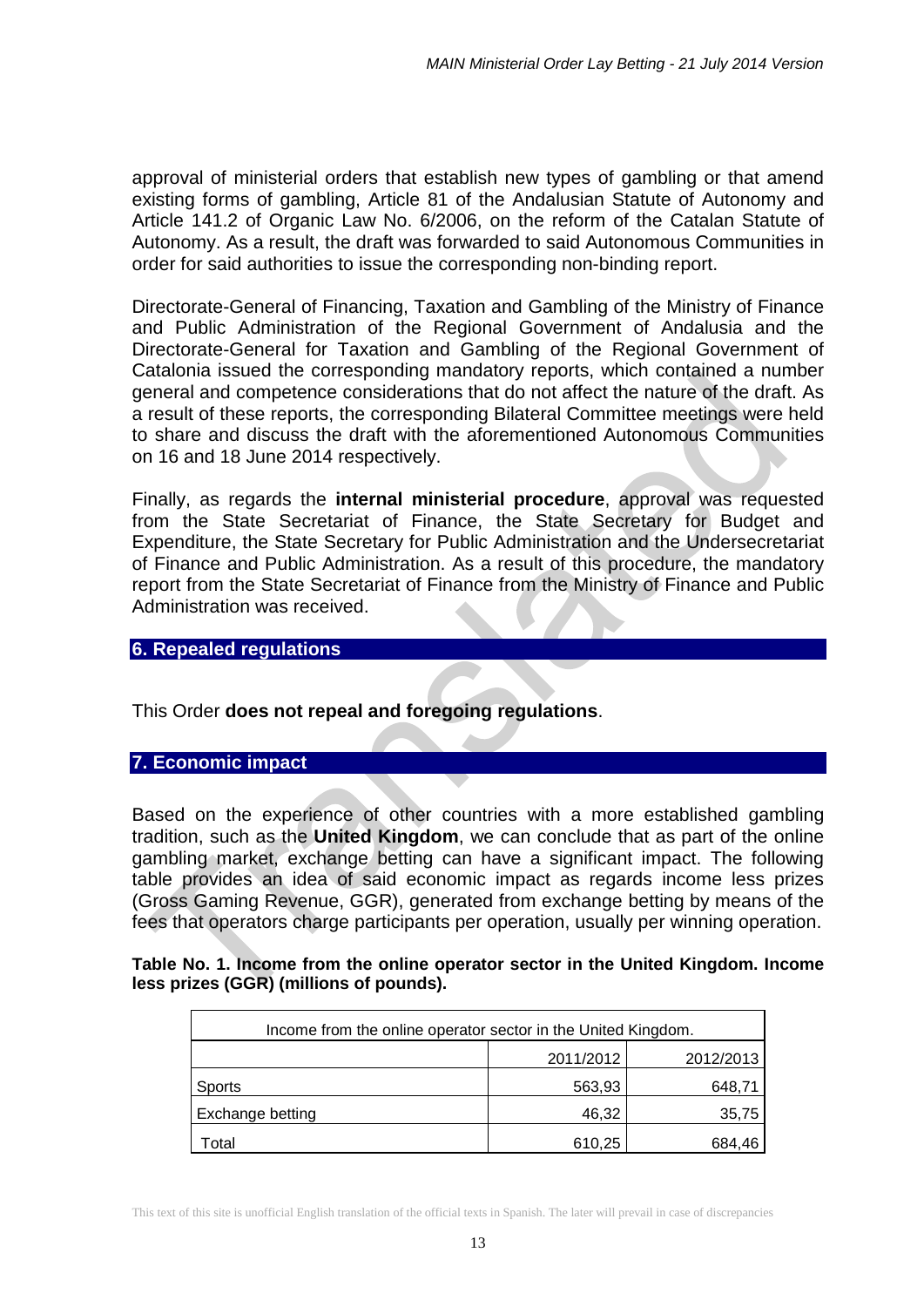approval of ministerial orders that establish new types of gambling or that amend existing forms of gambling, Article 81 of the Andalusian Statute of Autonomy and Article 141.2 of Organic Law No. 6/2006, on the reform of the Catalan Statute of Autonomy. As a result, the draft was forwarded to said Autonomous Communities in order for said authorities to issue the corresponding non-binding report.

Directorate-General of Financing, Taxation and Gambling of the Ministry of Finance and Public Administration of the Regional Government of Andalusia and the Directorate-General for Taxation and Gambling of the Regional Government of Catalonia issued the corresponding mandatory reports, which contained a number general and competence considerations that do not affect the nature of the draft. As a result of these reports, the corresponding Bilateral Committee meetings were held to share and discuss the draft with the aforementioned Autonomous Communities on 16 and 18 June 2014 respectively.

Finally, as regards the **internal ministerial procedure**, approval was requested from the State Secretariat of Finance, the State Secretary for Budget and Expenditure, the State Secretary for Public Administration and the Undersecretariat of Finance and Public Administration. As a result of this procedure, the mandatory report from the State Secretariat of Finance from the Ministry of Finance and Public Administration was received.

#### **6. Repealed regulations**

This Order **does not repeal and foregoing regulations**.

#### **7. Economic impact**

Based on the experience of other countries with a more established gambling tradition, such as the **United Kingdom**, we can conclude that as part of the online gambling market, exchange betting can have a significant impact. The following table provides an idea of said economic impact as regards income less prizes (Gross Gaming Revenue, GGR), generated from exchange betting by means of the fees that operators charge participants per operation, usually per winning operation.

| Table No. 1. Income from the online operator sector in the United Kingdom. Income |  |
|-----------------------------------------------------------------------------------|--|
| less prizes (GGR) (millions of pounds).                                           |  |
|                                                                                   |  |

| Income from the online operator sector in the United Kingdom. |           |           |  |  |
|---------------------------------------------------------------|-----------|-----------|--|--|
|                                                               | 2011/2012 | 2012/2013 |  |  |
| Sports                                                        | 563,93    | 648,71    |  |  |
| Exchange betting                                              | 46,32     | 35,75     |  |  |
| Total                                                         | 610,25    | 684.46    |  |  |

This text of this site is unofficial English translation of the official texts in Spanish. The later will prevail in case of discrepancies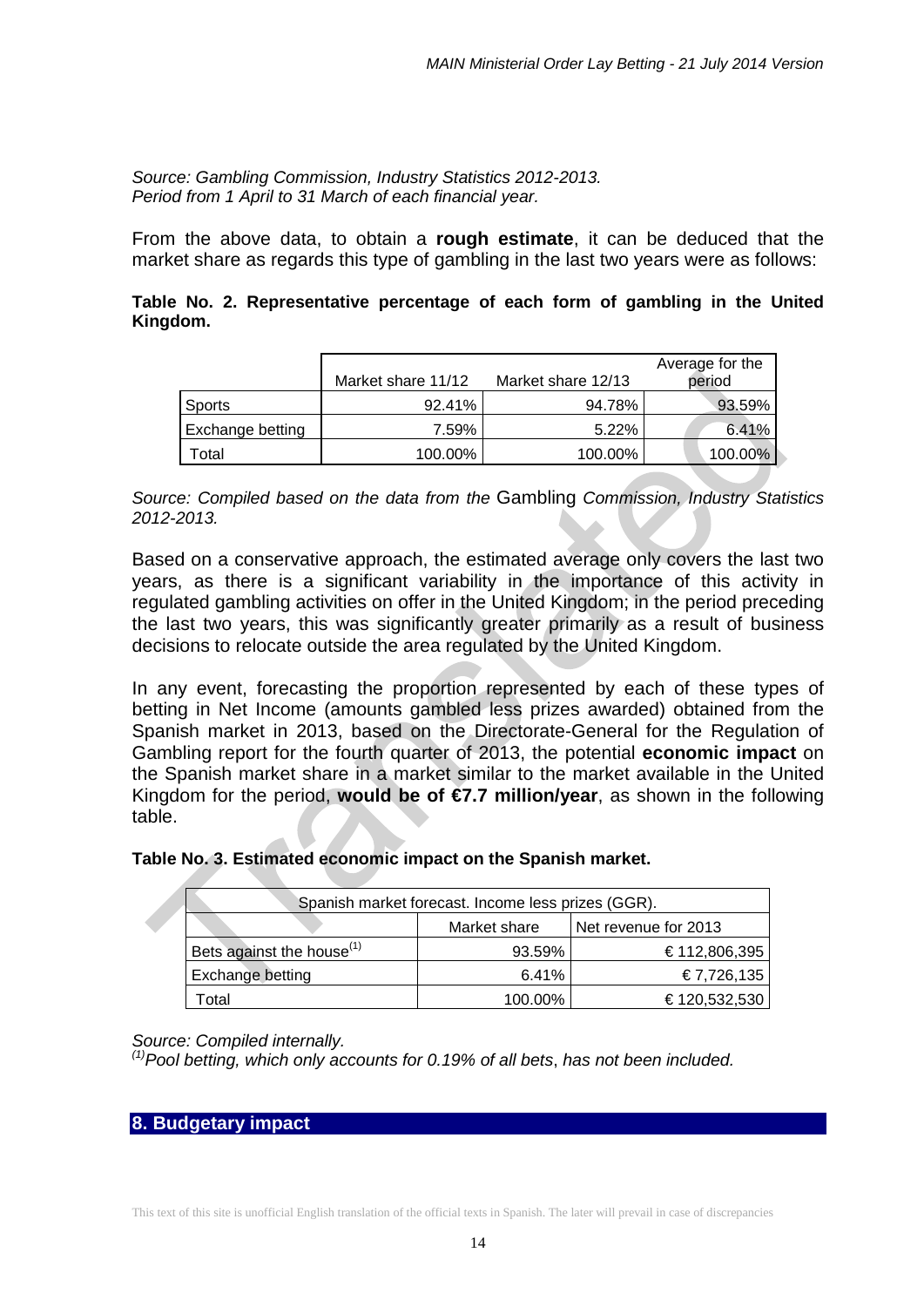*Source: Gambling Commission, Industry Statistics 2012-2013. Period from 1 April to 31 March of each financial year.*

From the above data, to obtain a **rough estimate**, it can be deduced that the market share as regards this type of gambling in the last two years were as follows:

#### **Table No. 2. Representative percentage of each form of gambling in the United Kingdom.**

|                   | Market share 11/12 | Market share 12/13 | Average for the<br>period |
|-------------------|--------------------|--------------------|---------------------------|
| <b>Sports</b>     | 92.41%             | 94.78%             | 93.59%                    |
| Exchange betting  | 7.59%              | 5.22%              | 6.41%                     |
| otal <sup>-</sup> | 100.00%            | 100.00%            | 100.00%                   |

*Source: Compiled based on the data from the* Gambling *Commission, Industry Statistics 2012-2013.*

Based on a conservative approach, the estimated average only covers the last two years, as there is a significant variability in the importance of this activity in regulated gambling activities on offer in the United Kingdom; in the period preceding the last two years, this was significantly greater primarily as a result of business decisions to relocate outside the area regulated by the United Kingdom.

In any event, forecasting the proportion represented by each of these types of betting in Net Income (amounts gambled less prizes awarded) obtained from the Spanish market in 2013, based on the Directorate-General for the Regulation of Gambling report for the fourth quarter of 2013, the potential **economic impact** on the Spanish market share in a market similar to the market available in the United Kingdom for the period, **would be of**  $\epsilon$ **7.7 million/year**, as shown in the following table.

#### **Table No. 3. Estimated economic impact on the Spanish market.**

| Spanish market forecast. Income less prizes (GGR). |              |                      |  |  |
|----------------------------------------------------|--------------|----------------------|--|--|
|                                                    | Market share | Net revenue for 2013 |  |  |
| Bets against the house <sup>(1)</sup>              | 93.59%       | €112,806,395         |  |  |
| Exchange betting                                   | 6.41%        | €7,726,135           |  |  |
| otal.                                              | 100.00%      | €120,532,530         |  |  |

#### *Source: Compiled internally.*

*(1)Pool betting, which only accounts for 0.19% of all bets*, *has not been included.*

#### **8. Budgetary impact**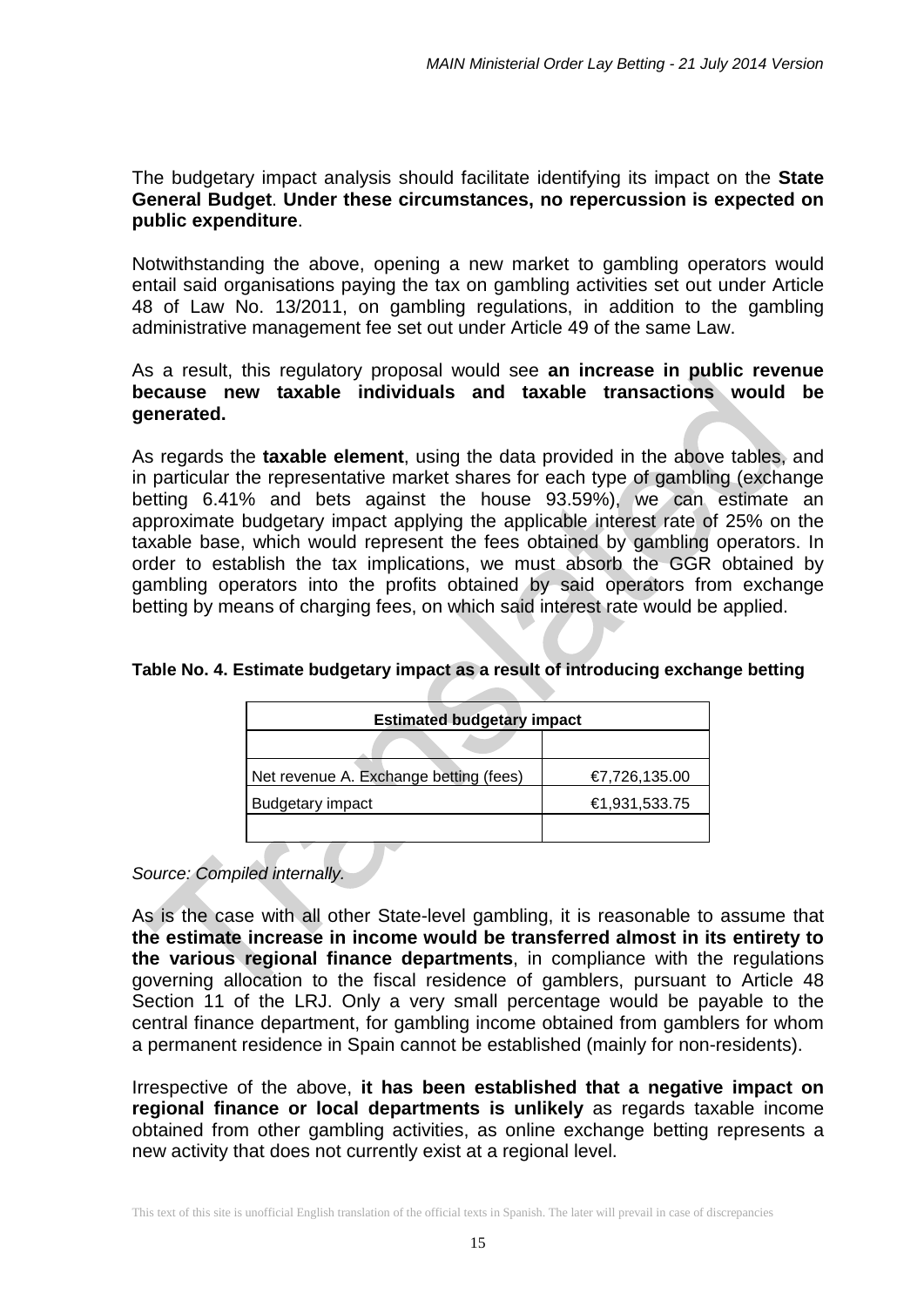## The budgetary impact analysis should facilitate identifying its impact on the **State General Budget**. **Under these circumstances, no repercussion is expected on public expenditure**.

Notwithstanding the above, opening a new market to gambling operators would entail said organisations paying the tax on gambling activities set out under Article 48 of Law No. 13/2011, on gambling regulations, in addition to the gambling administrative management fee set out under Article 49 of the same Law.

## As a result, this regulatory proposal would see **an increase in public revenue because new taxable individuals and taxable transactions would be generated.**

As regards the **taxable element**, using the data provided in the above tables, and in particular the representative market shares for each type of gambling (exchange betting 6.41% and bets against the house 93.59%), we can estimate an approximate budgetary impact applying the applicable interest rate of 25% on the taxable base, which would represent the fees obtained by gambling operators. In order to establish the tax implications, we must absorb the GGR obtained by gambling operators into the profits obtained by said operators from exchange betting by means of charging fees, on which said interest rate would be applied.

| <b>Estimated budgetary impact</b>      |               |  |  |
|----------------------------------------|---------------|--|--|
|                                        |               |  |  |
| Net revenue A. Exchange betting (fees) | €7,726,135.00 |  |  |
| <b>Budgetary impact</b>                | €1,931,533.75 |  |  |
|                                        |               |  |  |

## **Table No. 4. Estimate budgetary impact as a result of introducing exchange betting**

*Source: Compiled internally.*

As is the case with all other State-level gambling, it is reasonable to assume that **the estimate increase in income would be transferred almost in its entirety to the various regional finance departments**, in compliance with the regulations governing allocation to the fiscal residence of gamblers, pursuant to Article 48 Section 11 of the LRJ. Only a very small percentage would be payable to the central finance department, for gambling income obtained from gamblers for whom a permanent residence in Spain cannot be established (mainly for non-residents).

Irrespective of the above, **it has been established that a negative impact on regional finance or local departments is unlikely** as regards taxable income obtained from other gambling activities, as online exchange betting represents a new activity that does not currently exist at a regional level.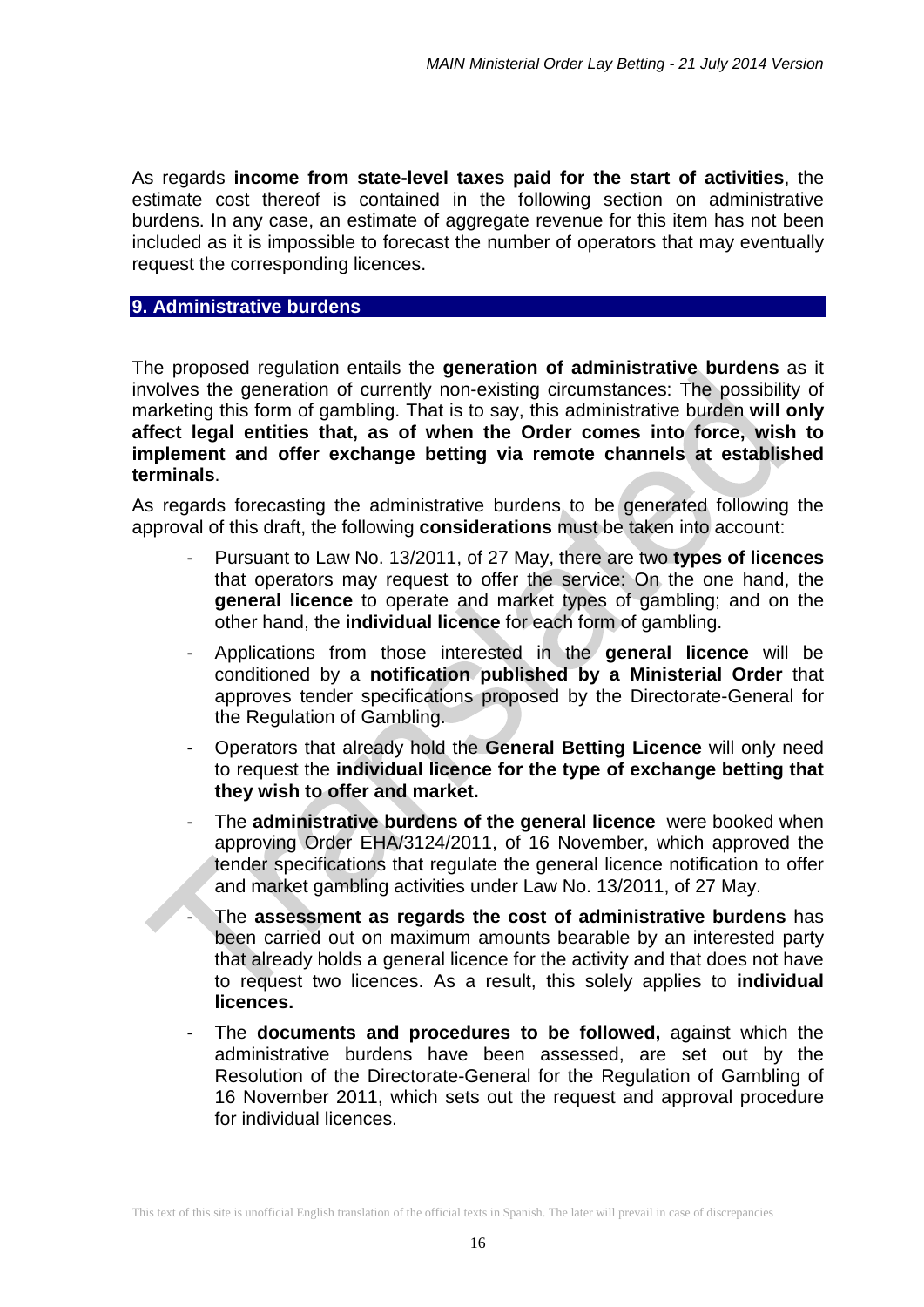As regards **income from state-level taxes paid for the start of activities**, the estimate cost thereof is contained in the following section on administrative burdens. In any case, an estimate of aggregate revenue for this item has not been included as it is impossible to forecast the number of operators that may eventually request the corresponding licences.

#### **9. Administrative burdens**

The proposed regulation entails the **generation of administrative burdens** as it involves the generation of currently non-existing circumstances: The possibility of marketing this form of gambling. That is to say, this administrative burden **will only affect legal entities that, as of when the Order comes into force, wish to implement and offer exchange betting via remote channels at established terminals**.

As regards forecasting the administrative burdens to be generated following the approval of this draft, the following **considerations** must be taken into account:

- Pursuant to Law No. 13/2011, of 27 May, there are two **types of licences** that operators may request to offer the service: On the one hand, the **general licence** to operate and market types of gambling; and on the other hand, the **individual licence** for each form of gambling.
- Applications from those interested in the **general licence** will be conditioned by a **notification published by a Ministerial Order** that approves tender specifications proposed by the Directorate-General for the Regulation of Gambling.
- Operators that already hold the **General Betting Licence** will only need to request the **individual licence for the type of exchange betting that they wish to offer and market.**
- The **administrative burdens of the general licence** were booked when approving Order EHA/3124/2011, of 16 November, which approved the tender specifications that regulate the general licence notification to offer and market gambling activities under Law No. 13/2011, of 27 May.
- The **assessment as regards the cost of administrative burdens** has been carried out on maximum amounts bearable by an interested party that already holds a general licence for the activity and that does not have to request two licences. As a result, this solely applies to **individual licences.**
- The **documents and procedures to be followed,** against which the administrative burdens have been assessed, are set out by the Resolution of the Directorate-General for the Regulation of Gambling of 16 November 2011, which sets out the request and approval procedure for individual licences.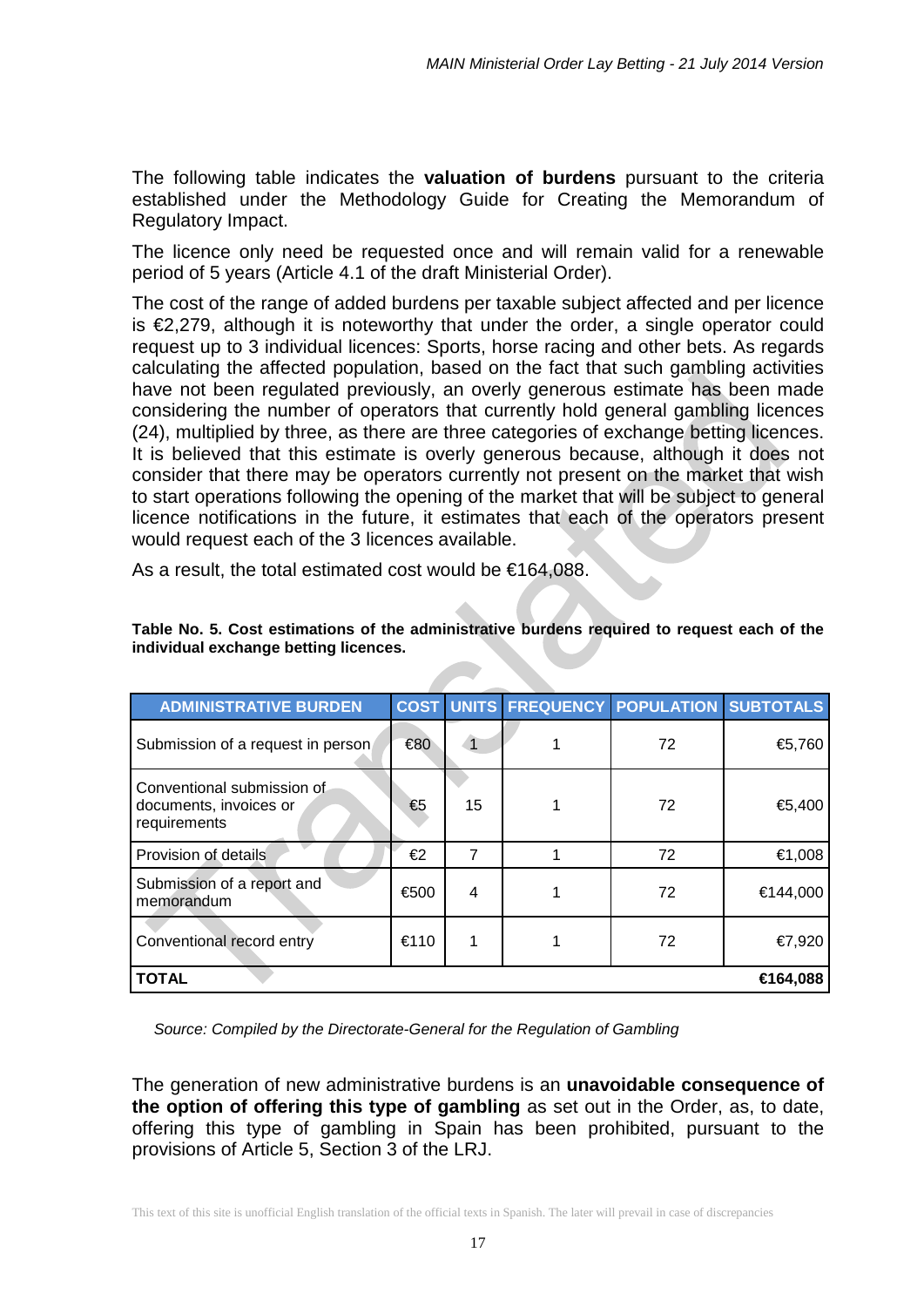The following table indicates the **valuation of burdens** pursuant to the criteria established under the Methodology Guide for Creating the Memorandum of Regulatory Impact.

The licence only need be requested once and will remain valid for a renewable period of 5 years (Article 4.1 of the draft Ministerial Order).

The cost of the range of added burdens per taxable subject affected and per licence is €2,279, although it is noteworthy that under the order, a single operator could request up to 3 individual licences: Sports, horse racing and other bets. As regards calculating the affected population, based on the fact that such gambling activities have not been regulated previously, an overly generous estimate has been made considering the number of operators that currently hold general gambling licences (24), multiplied by three, as there are three categories of exchange betting licences. It is believed that this estimate is overly generous because, although it does not consider that there may be operators currently not present on the market that wish to start operations following the opening of the market that will be subject to general licence notifications in the future, it estimates that each of the operators present would request each of the 3 licences available.

As a result, the total estimated cost would be €164,088.

| <b>ADMINISTRATIVE BURDEN</b>                                         |      |    |  | COST UNITS FREQUENCY POPULATION SUBTOTALS |          |
|----------------------------------------------------------------------|------|----|--|-------------------------------------------|----------|
| Submission of a request in person                                    | €80  |    |  | 72                                        | €5,760   |
| Conventional submission of<br>documents, invoices or<br>requirements | €5   | 15 |  | 72                                        | €5,400   |
| Provision of details                                                 | €2   | 7  |  | 72                                        | €1,008   |
| Submission of a report and<br>memorandum                             | €500 | 4  |  | 72                                        | €144,000 |
| Conventional record entry                                            | €110 | 1  |  | 72                                        | €7,920   |
| <b>TOTAL</b><br>€164,088                                             |      |    |  |                                           |          |

#### **Table No. 5. Cost estimations of the administrative burdens required to request each of the individual exchange betting licences.**

*Source: Compiled by the Directorate-General for the Regulation of Gambling* 

The generation of new administrative burdens is an **unavoidable consequence of the option of offering this type of gambling** as set out in the Order, as, to date, offering this type of gambling in Spain has been prohibited, pursuant to the provisions of Article 5, Section 3 of the LRJ.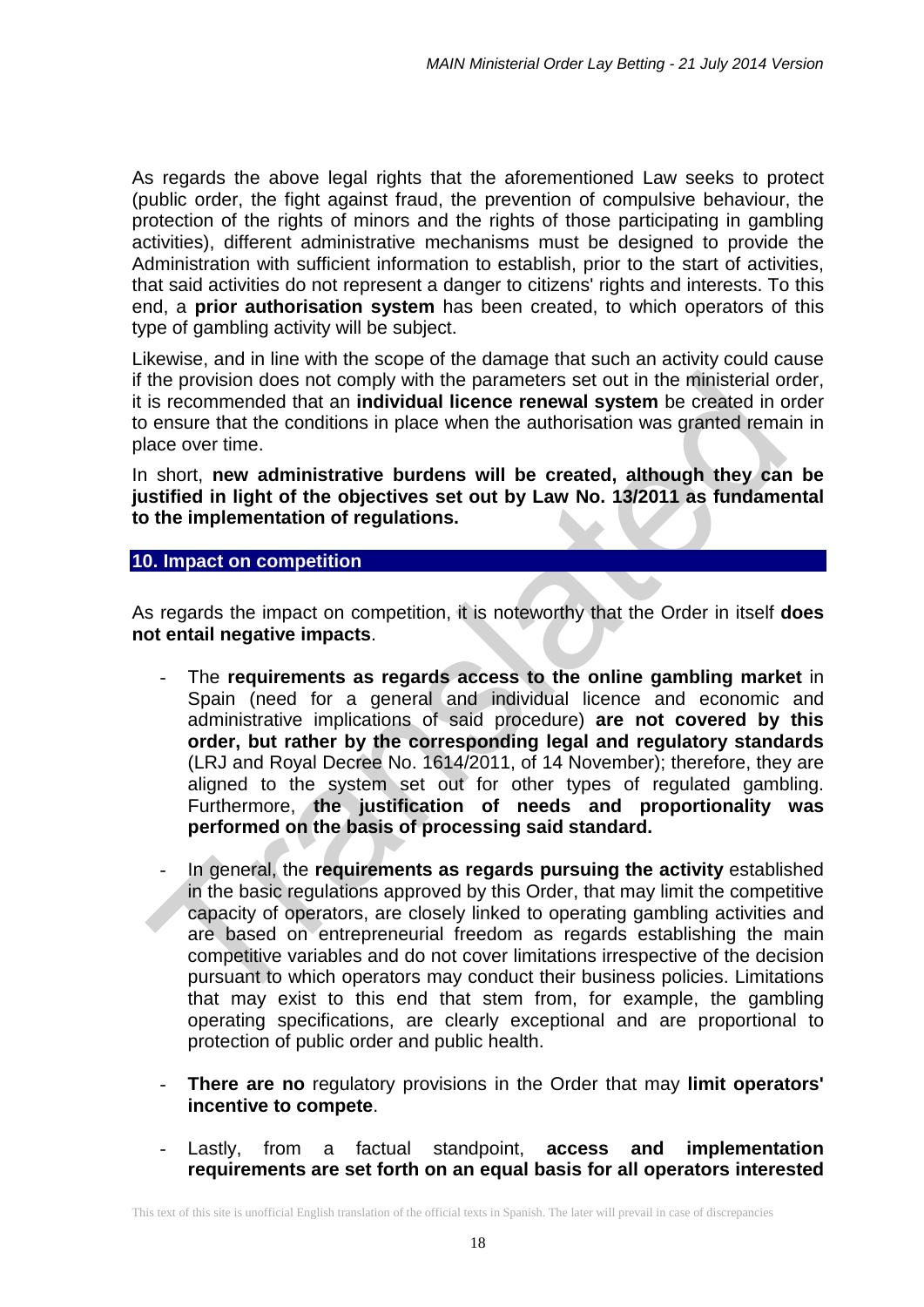As regards the above legal rights that the aforementioned Law seeks to protect (public order, the fight against fraud, the prevention of compulsive behaviour, the protection of the rights of minors and the rights of those participating in gambling activities), different administrative mechanisms must be designed to provide the Administration with sufficient information to establish, prior to the start of activities, that said activities do not represent a danger to citizens' rights and interests. To this end, a **prior authorisation system** has been created, to which operators of this type of gambling activity will be subject.

Likewise, and in line with the scope of the damage that such an activity could cause if the provision does not comply with the parameters set out in the ministerial order, it is recommended that an **individual licence renewal system** be created in order to ensure that the conditions in place when the authorisation was granted remain in place over time.

In short, **new administrative burdens will be created, although they can be justified in light of the objectives set out by Law No. 13/2011 as fundamental to the implementation of regulations.**

#### **10. Impact on competition**

As regards the impact on competition, it is noteworthy that the Order in itself **does not entail negative impacts**.

- The **requirements as regards access to the online gambling market** in Spain (need for a general and individual licence and economic and administrative implications of said procedure) **are not covered by this order, but rather by the corresponding legal and regulatory standards** (LRJ and Royal Decree No. 1614/2011, of 14 November); therefore, they are aligned to the system set out for other types of regulated gambling. Furthermore, **the justification of needs and proportionality was performed on the basis of processing said standard.**
- In general, the **requirements as regards pursuing the activity** established in the basic regulations approved by this Order, that may limit the competitive capacity of operators, are closely linked to operating gambling activities and are based on entrepreneurial freedom as regards establishing the main competitive variables and do not cover limitations irrespective of the decision pursuant to which operators may conduct their business policies. Limitations that may exist to this end that stem from, for example, the gambling operating specifications, are clearly exceptional and are proportional to protection of public order and public health.
- **There are no** regulatory provisions in the Order that may **limit operators' incentive to compete**.
- Lastly, from a factual standpoint, **access and implementation requirements are set forth on an equal basis for all operators interested**